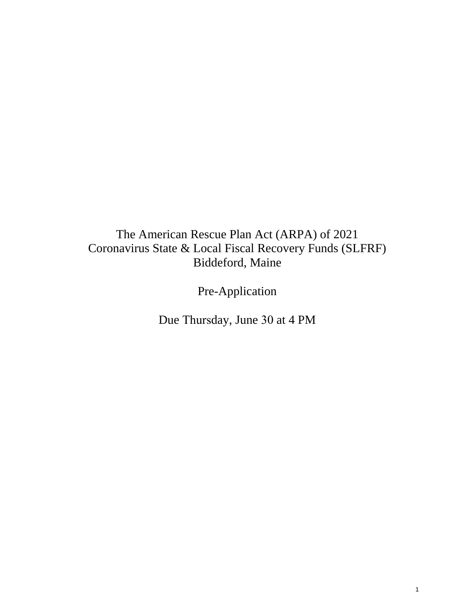# The American Rescue Plan Act (ARPA) of 2021 Coronavirus State & Local Fiscal Recovery Funds (SLFRF) Biddeford, Maine

Pre-Application

Due Thursday, June 30 at 4 PM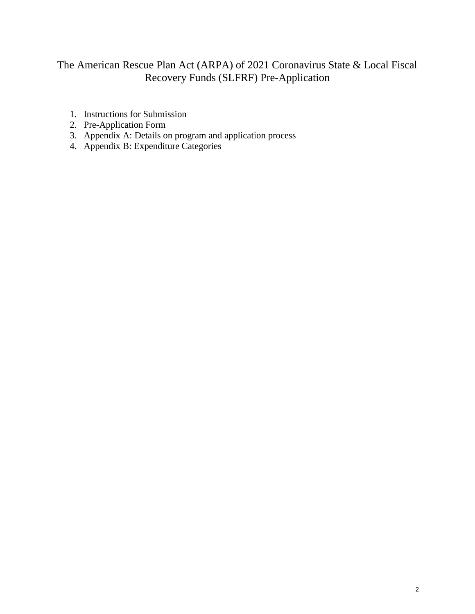## The American Rescue Plan Act (ARPA) of 2021 Coronavirus State & Local Fiscal Recovery Funds (SLFRF) Pre-Application

- 1. Instructions for Submission
- 2. Pre-Application Form
- 3. Appendix A: Details on program and application process
- 4. Appendix B: Expenditure Categories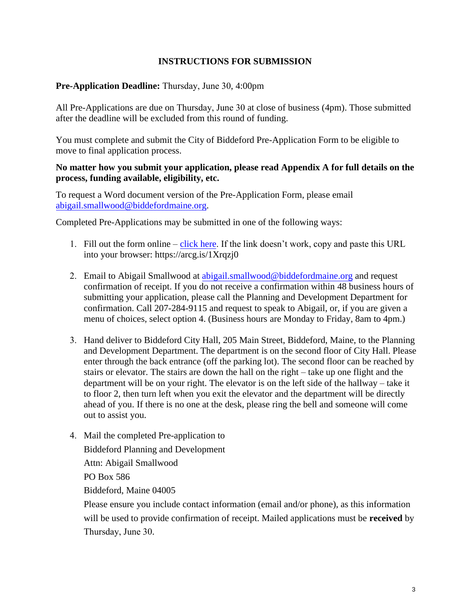### **INSTRUCTIONS FOR SUBMISSION**

#### **Pre-Application Deadline:** Thursday, June 30, 4:00pm

All Pre-Applications are due on Thursday, June 30 at close of business (4pm). Those submitted after the deadline will be excluded from this round of funding.

You must complete and submit the City of Biddeford Pre-Application Form to be eligible to move to final application process.

#### **No matter how you submit your application, please read Appendix A for full details on the process, funding available, eligibility, etc.**

To request a Word document version of the Pre-Application Form, please email [abigail.smallwood@biddefordmaine.org.](mailto:abigail.smallwood@biddefordmaine.org)

Completed Pre-Applications may be submitted in one of the following ways:

- 1. Fill out the form online [click here.](https://arcg.is/1Xrqzj0) If the link doesn't work, copy and paste this URL into your browser: https://arcg.is/1Xrqzj0
- 2. Email to Abigail Smallwood a[t abigail.smallwood@biddefordmaine.org](mailto:abigail.smallwood@biddefordmaine.org) and request confirmation of receipt. If you do not receive a confirmation within 48 business hours of submitting your application, please call the Planning and Development Department for confirmation. Call 207-284-9115 and request to speak to Abigail, or, if you are given a menu of choices, select option 4. (Business hours are Monday to Friday, 8am to 4pm.)
- 3. Hand deliver to Biddeford City Hall, 205 Main Street, Biddeford, Maine, to the Planning and Development Department. The department is on the second floor of City Hall. Please enter through the back entrance (off the parking lot). The second floor can be reached by stairs or elevator. The stairs are down the hall on the right – take up one flight and the department will be on your right. The elevator is on the left side of the hallway – take it to floor 2, then turn left when you exit the elevator and the department will be directly ahead of you. If there is no one at the desk, please ring the bell and someone will come out to assist you.
- 4. Mail the completed Pre-application to

Biddeford Planning and Development

Attn: Abigail Smallwood

PO Box 586

Biddeford, Maine 04005

Please ensure you include contact information (email and/or phone), as this information will be used to provide confirmation of receipt. Mailed applications must be **received** by Thursday, June 30.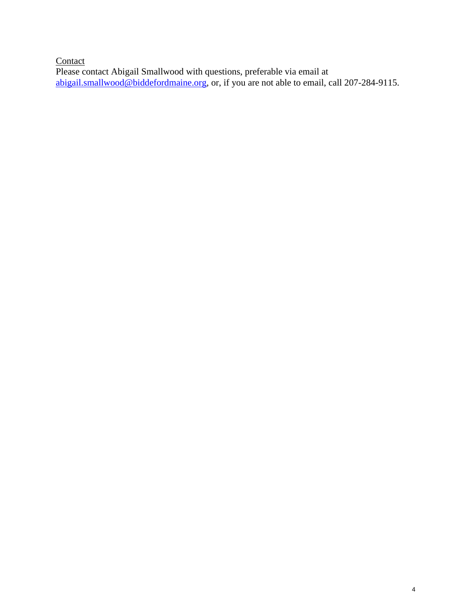**Contact** Please contact Abigail Smallwood with questions, preferable via email at [abigail.smallwood@biddefordmaine.org,](mailto:abigail.smallwood@biddefordmaine.org) or, if you are not able to email, call 207-284-9115.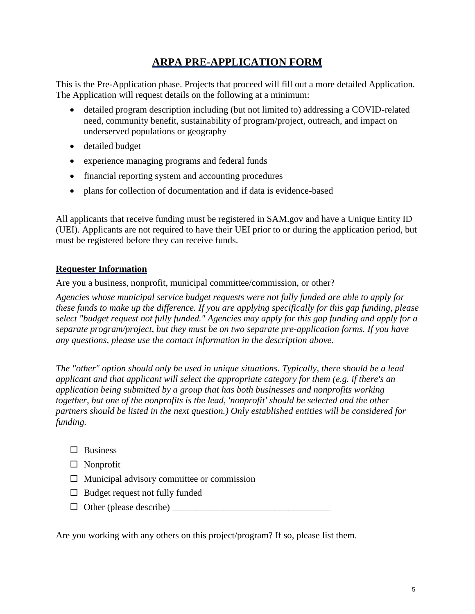## **ARPA PRE-APPLICATION FORM**

This is the Pre-Application phase. Projects that proceed will fill out a more detailed Application. The Application will request details on the following at a minimum:

- detailed program description including (but not limited to) addressing a COVID-related need, community benefit, sustainability of program/project, outreach, and impact on underserved populations or geography
- detailed budget
- experience managing programs and federal funds
- financial reporting system and accounting procedures
- plans for collection of documentation and if data is evidence-based

All applicants that receive funding must be registered in SAM.gov and have a Unique Entity ID (UEI). Applicants are not required to have their UEI prior to or during the application period, but must be registered before they can receive funds.

### **Requester Information**

Are you a business, nonprofit, municipal committee/commission, or other?

*Agencies whose municipal service budget requests were not fully funded are able to apply for these funds to make up the difference. If you are applying specifically for this gap funding, please select "budget request not fully funded." Agencies may apply for this gap funding and apply for a separate program/project, but they must be on two separate pre-application forms. If you have any questions, please use the contact information in the description above.*

*The "other" option should only be used in unique situations. Typically, there should be a lead applicant and that applicant will select the appropriate category for them (e.g. if there's an application being submitted by a group that has both businesses and nonprofits working together, but one of the nonprofits is the lead, 'nonprofit' should be selected and the other partners should be listed in the next question.) Only established entities will be considered for funding.*

- $\square$  Business
- □ Nonprofit
- $\Box$  Municipal advisory committee or commission
- $\Box$  Budget request not fully funded
- $\Box$  Other (please describe)  $\Box$

Are you working with any others on this project/program? If so, please list them.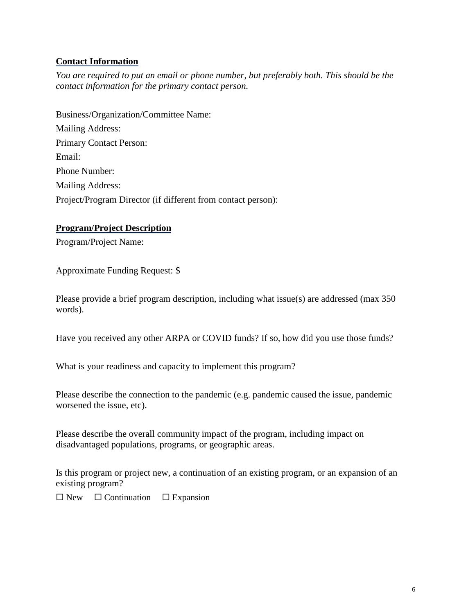### **Contact Information**

*You are required to put an email or phone number, but preferably both. This should be the contact information for the primary contact person.*

Business/Organization/Committee Name: Mailing Address: Primary Contact Person: Email: Phone Number: Mailing Address: Project/Program Director (if different from contact person):

### **Program/Project Description**

Program/Project Name:

Approximate Funding Request: \$

Please provide a brief program description, including what issue(s) are addressed (max 350 words).

Have you received any other ARPA or COVID funds? If so, how did you use those funds?

What is your readiness and capacity to implement this program?

Please describe the connection to the pandemic (e.g. pandemic caused the issue, pandemic worsened the issue, etc).

Please describe the overall community impact of the program, including impact on disadvantaged populations, programs, or geographic areas.

Is this program or project new, a continuation of an existing program, or an expansion of an existing program?

 $\square$  New  $\square$  Continuation  $\square$  Expansion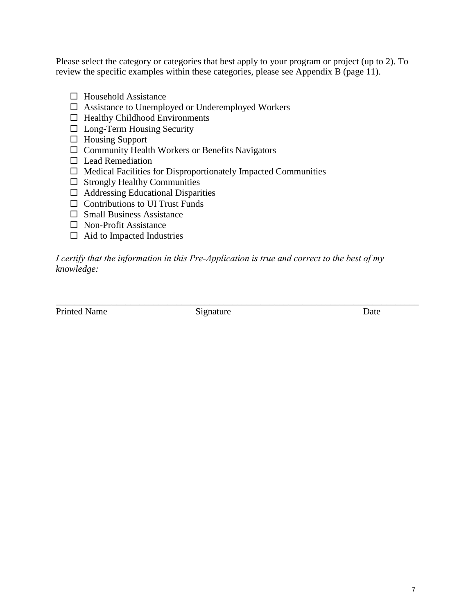Please select the category or categories that best apply to your program or project (up to 2). To review the specific examples within these categories, please see Appendix B (page 11).

- $\Box$  Household Assistance
- $\Box$  Assistance to Unemployed or Underemployed Workers
- $\Box$  Healthy Childhood Environments
- $\square$  Long-Term Housing Security
- $\Box$  Housing Support
- Community Health Workers or Benefits Navigators
- $\square$  Lead Remediation
- $\Box$  Medical Facilities for Disproportionately Impacted Communities
- $\square$  Strongly Healthy Communities
- $\Box$  Addressing Educational Disparities
- $\Box$  Contributions to UI Trust Funds
- $\square$  Small Business Assistance
- □ Non-Profit Assistance
- $\Box$  Aid to Impacted Industries

*I certify that the information in this Pre‐Application is true and correct to the best of my knowledge:*

Printed Name Signature Date

\_\_\_\_\_\_\_\_\_\_\_\_\_\_\_\_\_\_\_\_\_\_\_\_\_\_\_\_\_\_\_\_\_\_\_\_\_\_\_\_\_\_\_\_\_\_\_\_\_\_\_\_\_\_\_\_\_\_\_\_\_\_\_\_\_\_\_\_\_\_\_\_\_\_\_\_\_\_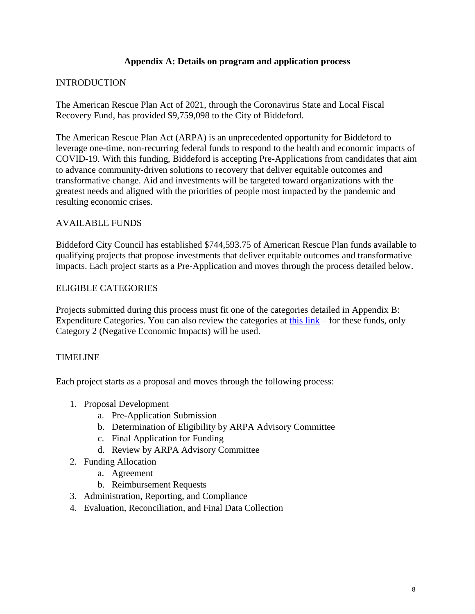### **Appendix A: Details on program and application process**

### **INTRODUCTION**

The American Rescue Plan Act of 2021, through the Coronavirus State and Local Fiscal Recovery Fund, has provided \$9,759,098 to the City of Biddeford.

The American Rescue Plan Act (ARPA) is an unprecedented opportunity for Biddeford to leverage one-time, non-recurring federal funds to respond to the health and economic impacts of COVID-19. With this funding, Biddeford is accepting Pre-Applications from candidates that aim to advance community-driven solutions to recovery that deliver equitable outcomes and transformative change. Aid and investments will be targeted toward organizations with the greatest needs and aligned with the priorities of people most impacted by the pandemic and resulting economic crises.

### AVAILABLE FUNDS

Biddeford City Council has established \$744,593.75 of American Rescue Plan funds available to qualifying projects that propose investments that deliver equitable outcomes and transformative impacts. Each project starts as a Pre-Application and moves through the process detailed below.

### ELIGIBLE CATEGORIES

Projects submitted during this process must fit one of the categories detailed in Appendix B: Expenditure Categories. You can also review the categories at [this link](https://home.treasury.gov/system/files/136/SLFRF-Compliance-and-Reporting-Guidance.pdf#page=35) – for these funds, only Category 2 (Negative Economic Impacts) will be used.

### TIMELINE

Each project starts as a proposal and moves through the following process:

- 1. Proposal Development
	- a. Pre-Application Submission
	- b. Determination of Eligibility by ARPA Advisory Committee
	- c. Final Application for Funding
	- d. Review by ARPA Advisory Committee
- 2. Funding Allocation
	- a. Agreement
	- b. Reimbursement Requests
- 3. Administration, Reporting, and Compliance
- 4. Evaluation, Reconciliation, and Final Data Collection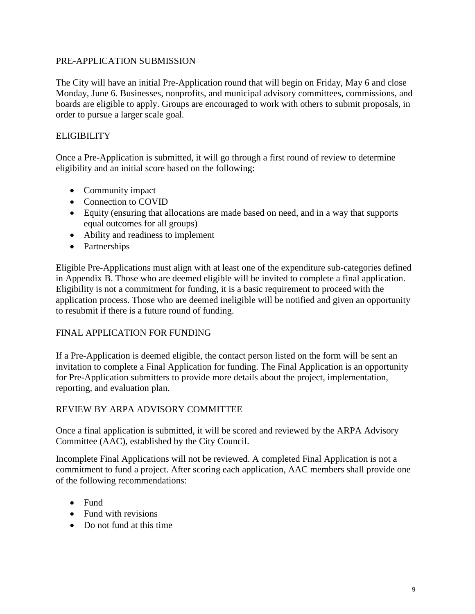### PRE-APPLICATION SUBMISSION

The City will have an initial Pre-Application round that will begin on Friday, May 6 and close Monday, June 6. Businesses, nonprofits, and municipal advisory committees, commissions, and boards are eligible to apply. Groups are encouraged to work with others to submit proposals, in order to pursue a larger scale goal.

### **ELIGIBILITY**

Once a Pre-Application is submitted, it will go through a first round of review to determine eligibility and an initial score based on the following:

- Community impact
- Connection to COVID
- Equity (ensuring that allocations are made based on need, and in a way that supports equal outcomes for all groups)
- Ability and readiness to implement
- Partnerships

Eligible Pre-Applications must align with at least one of the expenditure sub-categories defined in Appendix B. Those who are deemed eligible will be invited to complete a final application. Eligibility is not a commitment for funding, it is a basic requirement to proceed with the application process. Those who are deemed ineligible will be notified and given an opportunity to resubmit if there is a future round of funding.

### FINAL APPLICATION FOR FUNDING

If a Pre-Application is deemed eligible, the contact person listed on the form will be sent an invitation to complete a Final Application for funding. The Final Application is an opportunity for Pre-Application submitters to provide more details about the project, implementation, reporting, and evaluation plan.

### REVIEW BY ARPA ADVISORY COMMITTEE

Once a final application is submitted, it will be scored and reviewed by the ARPA Advisory Committee (AAC), established by the City Council.

Incomplete Final Applications will not be reviewed. A completed Final Application is not a commitment to fund a project. After scoring each application, AAC members shall provide one of the following recommendations:

- Fund
- Fund with revisions
- Do not fund at this time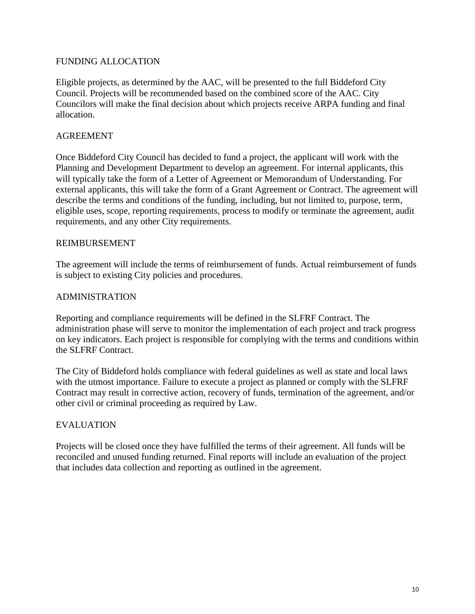### FUNDING ALLOCATION

Eligible projects, as determined by the AAC, will be presented to the full Biddeford City Council. Projects will be recommended based on the combined score of the AAC. City Councilors will make the final decision about which projects receive ARPA funding and final allocation.

### AGREEMENT

Once Biddeford City Council has decided to fund a project, the applicant will work with the Planning and Development Department to develop an agreement. For internal applicants, this will typically take the form of a Letter of Agreement or Memorandum of Understanding. For external applicants, this will take the form of a Grant Agreement or Contract. The agreement will describe the terms and conditions of the funding, including, but not limited to, purpose, term, eligible uses, scope, reporting requirements, process to modify or terminate the agreement, audit requirements, and any other City requirements.

#### REIMBURSEMENT

The agreement will include the terms of reimbursement of funds. Actual reimbursement of funds is subject to existing City policies and procedures.

### ADMINISTRATION

Reporting and compliance requirements will be defined in the SLFRF Contract. The administration phase will serve to monitor the implementation of each project and track progress on key indicators. Each project is responsible for complying with the terms and conditions within the SLFRF Contract.

The City of Biddeford holds compliance with federal guidelines as well as state and local laws with the utmost importance. Failure to execute a project as planned or comply with the SLFRF Contract may result in corrective action, recovery of funds, termination of the agreement, and/or other civil or criminal proceeding as required by Law.

#### EVALUATION

Projects will be closed once they have fulfilled the terms of their agreement. All funds will be reconciled and unused funding returned. Final reports will include an evaluation of the project that includes data collection and reporting as outlined in the agreement.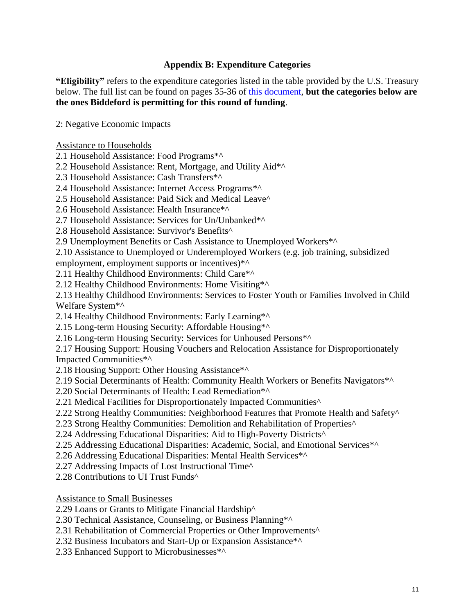### **Appendix B: Expenditure Categories**

**"Eligibility"** refers to the expenditure categories listed in the table provided by the U.S. Treasury below. The full list can be found on pages 35-36 of [this document,](https://home.treasury.gov/system/files/136/SLFRF-Compliance-and-Reporting-Guidance.pdf) **but the categories below are the ones Biddeford is permitting for this round of funding**.

2: Negative Economic Impacts

Assistance to Households

2.1 Household Assistance: Food Programs\*^

2.2 Household Assistance: Rent, Mortgage, and Utility Aid\*^

2.3 Household Assistance: Cash Transfers\*^

2.4 Household Assistance: Internet Access Programs\*^

2.5 Household Assistance: Paid Sick and Medical Leave^

2.6 Household Assistance: Health Insurance\*^

2.7 Household Assistance: Services for Un/Unbanked\*^

2.8 Household Assistance: Survivor's Benefits^

2.9 Unemployment Benefits or Cash Assistance to Unemployed Workers\*^

2.10 Assistance to Unemployed or Underemployed Workers (e.g. job training, subsidized

employment, employment supports or incentives)<sup>\*^</sup>

2.11 Healthy Childhood Environments: Child Care\*^

2.12 Healthy Childhood Environments: Home Visiting\*^

2.13 Healthy Childhood Environments: Services to Foster Youth or Families Involved in Child Welfare System\*^

2.14 Healthy Childhood Environments: Early Learning\*^

2.15 Long-term Housing Security: Affordable Housing\*^

2.16 Long-term Housing Security: Services for Unhoused Persons\*^

2.17 Housing Support: Housing Vouchers and Relocation Assistance for Disproportionately Impacted Communities\*^

2.18 Housing Support: Other Housing Assistance\*^

2.19 Social Determinants of Health: Community Health Workers or Benefits Navigators\*^

2.20 Social Determinants of Health: Lead Remediation\*^

2.21 Medical Facilities for Disproportionately Impacted Communities<sup>^</sup>

2.22 Strong Healthy Communities: Neighborhood Features that Promote Health and Safety^

2.23 Strong Healthy Communities: Demolition and Rehabilitation of Properties^

2.24 Addressing Educational Disparities: Aid to High-Poverty Districts^

2.25 Addressing Educational Disparities: Academic, Social, and Emotional Services\*^

2.26 Addressing Educational Disparities: Mental Health Services\*^

2.27 Addressing Impacts of Lost Instructional Time^

2.28 Contributions to UI Trust Funds^

Assistance to Small Businesses

2.29 Loans or Grants to Mitigate Financial Hardship^

2.30 Technical Assistance, Counseling, or Business Planning\*^

2.31 Rehabilitation of Commercial Properties or Other Improvements^

2.32 Business Incubators and Start-Up or Expansion Assistance\*^

2.33 Enhanced Support to Microbusinesses\*^